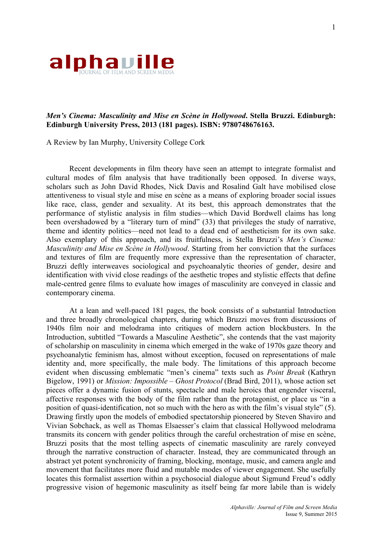

## *Men's Cinema: Masculinity and Mise en Scène in Hollywood***. Stella Bruzzi. Edinburgh: Edinburgh University Press, 2013 (181 pages). ISBN: 9780748676163.**

A Review by Ian Murphy, University College Cork

Recent developments in film theory have seen an attempt to integrate formalist and cultural modes of film analysis that have traditionally been opposed. In diverse ways, scholars such as John David Rhodes, Nick Davis and Rosalind Galt have mobilised close attentiveness to visual style and mise en scène as a means of exploring broader social issues like race, class, gender and sexuality. At its best, this approach demonstrates that the performance of stylistic analysis in film studies—which David Bordwell claims has long been overshadowed by a "literary turn of mind" (33) that privileges the study of narrative, theme and identity politics—need not lead to a dead end of aestheticism for its own sake. Also exemplary of this approach, and its fruitfulness, is Stella Bruzzi's *Men's Cinema: Masculinity and Mise en Scène in Hollywood*. Starting from her conviction that the surfaces and textures of film are frequently more expressive than the representation of character, Bruzzi deftly interweaves sociological and psychoanalytic theories of gender, desire and identification with vivid close readings of the aesthetic tropes and stylistic effects that define male-centred genre films to evaluate how images of masculinity are conveyed in classic and contemporary cinema.

At a lean and well-paced 181 pages, the book consists of a substantial Introduction and three broadly chronological chapters, during which Bruzzi moves from discussions of 1940s film noir and melodrama into critiques of modern action blockbusters. In the Introduction, subtitled "Towards a Masculine Aesthetic", she contends that the vast majority of scholarship on masculinity in cinema which emerged in the wake of 1970s gaze theory and psychoanalytic feminism has, almost without exception, focused on representations of male identity and, more specifically, the male body. The limitations of this approach become evident when discussing emblematic "men's cinema" texts such as *Point Break* (Kathryn Bigelow, 1991) or *Mission: Impossible – Ghost Protocol* (Brad Bird, 2011), whose action set pieces offer a dynamic fusion of stunts, spectacle and male heroics that engender visceral, affective responses with the body of the film rather than the protagonist, or place us "in a position of quasi-identification, not so much with the hero as with the film's visual style" (5). Drawing firstly upon the models of embodied spectatorship pioneered by Steven Shaviro and Vivian Sobchack, as well as Thomas Elsaesser's claim that classical Hollywood melodrama transmits its concern with gender politics through the careful orchestration of mise en scène, Bruzzi posits that the most telling aspects of cinematic masculinity are rarely conveyed through the narrative construction of character. Instead, they are communicated through an abstract yet potent synchronicity of framing, blocking, montage, music, and camera angle and movement that facilitates more fluid and mutable modes of viewer engagement. She usefully locates this formalist assertion within a psychosocial dialogue about Sigmund Freud's oddly progressive vision of hegemonic masculinity as itself being far more labile than is widely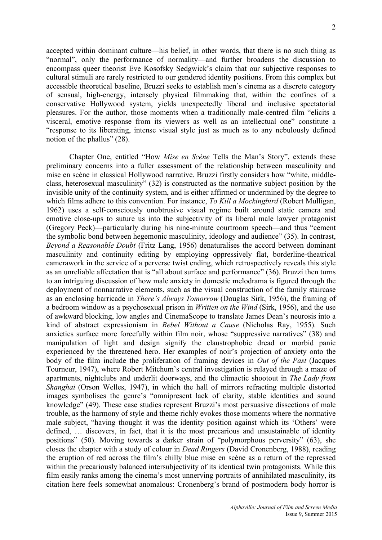accepted within dominant culture—his belief, in other words, that there is no such thing as "normal", only the performance of normality—and further broadens the discussion to encompass queer theorist Eve Kosofsky Sedgwick's claim that our subjective responses to cultural stimuli are rarely restricted to our gendered identity positions. From this complex but accessible theoretical baseline, Bruzzi seeks to establish men's cinema as a discrete category of sensual, high-energy, intensely physical filmmaking that, within the confines of a conservative Hollywood system, yields unexpectedly liberal and inclusive spectatorial pleasures. For the author, those moments when a traditionally male-centred film "elicits a visceral, emotive response from its viewers as well as an intellectual one" constitute a "response to its liberating, intense visual style just as much as to any nebulously defined notion of the phallus" (28).

Chapter One, entitled "How *Mise en Scène* Tells the Man's Story", extends these preliminary concerns into a fuller assessment of the relationship between masculinity and mise en scène in classical Hollywood narrative. Bruzzi firstly considers how "white, middleclass, heterosexual masculinity" (32) is constructed as the normative subject position by the invisible unity of the continuity system, and is either affirmed or undermined by the degree to which films adhere to this convention. For instance, *To Kill a Mockingbird* (Robert Mulligan, 1962) uses a self-consciously unobtrusive visual regime built around static camera and emotive close-ups to suture us into the subjectivity of its liberal male lawyer protagonist (Gregory Peck)—particularly during his nine-minute courtroom speech—and thus "cement the symbolic bond between hegemonic masculinity, ideology and audience" (35). In contrast, *Beyond a Reasonable Doubt* (Fritz Lang, 1956) denaturalises the accord between dominant masculinity and continuity editing by employing oppressively flat, borderline-theatrical camerawork in the service of a perverse twist ending, which retrospectively reveals this style as an unreliable affectation that is "all about surface and performance" (36). Bruzzi then turns to an intriguing discussion of how male anxiety in domestic melodrama is figured through the deployment of nonnarrative elements, such as the visual construction of the family staircase as an enclosing barricade in *There's Always Tomorrow* (Douglas Sirk, 1956), the framing of a bedroom window as a psychosexual prison in *Written on the Wind* (Sirk, 1956), and the use of awkward blocking, low angles and CinemaScope to translate James Dean's neurosis into a kind of abstract expressionism in *Rebel Without a Cause* (Nicholas Ray, 1955). Such anxieties surface more forcefully within film noir, whose "suppressive narratives" (38) and manipulation of light and design signify the claustrophobic dread or morbid panic experienced by the threatened hero. Her examples of noir's projection of anxiety onto the body of the film include the proliferation of framing devices in *Out of the Past* (Jacques Tourneur, 1947), where Robert Mitchum's central investigation is relayed through a maze of apartments, nightclubs and underlit doorways, and the climactic shootout in *The Lady from Shanghai* (Orson Welles, 1947), in which the hall of mirrors refracting multiple distorted images symbolises the genre's "omnipresent lack of clarity, stable identities and sound knowledge" (49). These case studies represent Bruzzi's most persuasive dissections of male trouble, as the harmony of style and theme richly evokes those moments where the normative male subject, "having thought it was the identity position against which its 'Others' were defined, … discovers, in fact, that it is the most precarious and unsustainable of identity positions" (50). Moving towards a darker strain of "polymorphous perversity" (63), she closes the chapter with a study of colour in *Dead Ringers* (David Cronenberg, 1988), reading the eruption of red across the film's chilly blue mise en scène as a return of the repressed within the precariously balanced intersubjectivity of its identical twin protagonists. While this film easily ranks among the cinema's most unnerving portraits of annihilated masculinity, its citation here feels somewhat anomalous: Cronenberg's brand of postmodern body horror is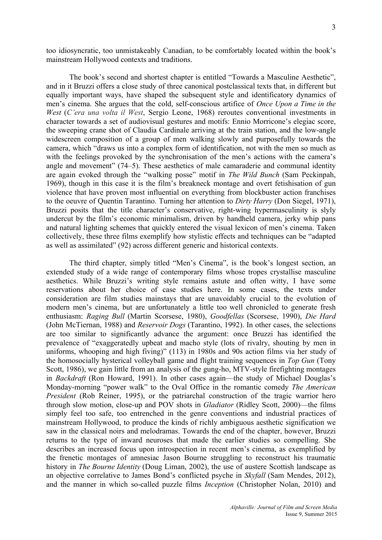too idiosyncratic, too unmistakeably Canadian, to be comfortably located within the book's mainstream Hollywood contexts and traditions.

The book's second and shortest chapter is entitled "Towards a Masculine Aesthetic", and in it Bruzzi offers a close study of three canonical postclassical texts that, in different but equally important ways, have shaped the subsequent style and identificatory dynamics of men's cinema. She argues that the cold, self-conscious artifice of *Once Upon a Time in the West* (*C'era una volta il West*, Sergio Leone, 1968) reroutes conventional investments in character towards a set of audiovisual gestures and motifs: Ennio Morricone's elegiac score, the sweeping crane shot of Claudia Cardinale arriving at the train station, and the low-angle widescreen composition of a group of men walking slowly and purposefully towards the camera, which "draws us into a complex form of identification, not with the men so much as with the feelings provoked by the synchronisation of the men's actions with the camera's angle and movement" (74–5). These aesthetics of male camaraderie and communal identity are again evoked through the "walking posse" motif in *The Wild Bunch* (Sam Peckinpah, 1969), though in this case it is the film's breakneck montage and overt fetishisation of gun violence that have proven most influential on everything from blockbuster action franchises to the oeuvre of Quentin Tarantino. Turning her attention to *Dirty Harry* (Don Siegel, 1971), Bruzzi posits that the title character's conservative, right-wing hypermasculinity is slyly undercut by the film's economic minimalism, driven by handheld camera, jerky whip pans and natural lighting schemes that quickly entered the visual lexicon of men's cinema. Taken collectively, these three films exemplify how stylistic effects and techniques can be "adapted as well as assimilated" (92) across different generic and historical contexts.

The third chapter, simply titled "Men's Cinema", is the book's longest section, an extended study of a wide range of contemporary films whose tropes crystallise masculine aesthetics. While Bruzzi's writing style remains astute and often witty, I have some reservations about her choice of case studies here. In some cases, the texts under consideration are film studies mainstays that are unavoidably crucial to the evolution of modern men's cinema, but are unfortunately a little too well chronicled to generate fresh enthusiasm: *Raging Bull* (Martin Scorsese, 1980), *Goodfellas* (Scorsese, 1990), *Die Hard* (John McTiernan, 1988) and *Reservoir Dogs* (Tarantino, 1992). In other cases, the selections are too similar to significantly advance the argument: once Bruzzi has identified the prevalence of "exaggeratedly upbeat and macho style (lots of rivalry, shouting by men in uniforms, whooping and high fiving)" (113) in 1980s and 90s action films via her study of the homosocially hysterical volleyball game and flight training sequences in *Top Gun* (Tony Scott, 1986), we gain little from an analysis of the gung-ho, MTV-style firefighting montages in *Backdraft* (Ron Howard, 1991). In other cases again—the study of Michael Douglas's Monday-morning "power walk" to the Oval Office in the romantic comedy *The American President* (Rob Reiner, 1995), or the patriarchal construction of the tragic warrior hero through slow motion, close-up and POV shots in *Gladiator* (Ridley Scott, 2000)—the films simply feel too safe, too entrenched in the genre conventions and industrial practices of mainstream Hollywood, to produce the kinds of richly ambiguous aesthetic signification we saw in the classical noirs and melodramas. Towards the end of the chapter, however, Bruzzi returns to the type of inward neuroses that made the earlier studies so compelling. She describes an increased focus upon introspection in recent men's cinema, as exemplified by the frenetic montages of amnesiac Jason Bourne struggling to reconstruct his traumatic history in *The Bourne Identity* (Doug Liman, 2002), the use of austere Scottish landscape as an objective correlative to James Bond's conflicted psyche in *Skyfall* (Sam Mendes, 2012), and the manner in which so-called puzzle films *Inception* (Christopher Nolan, 2010) and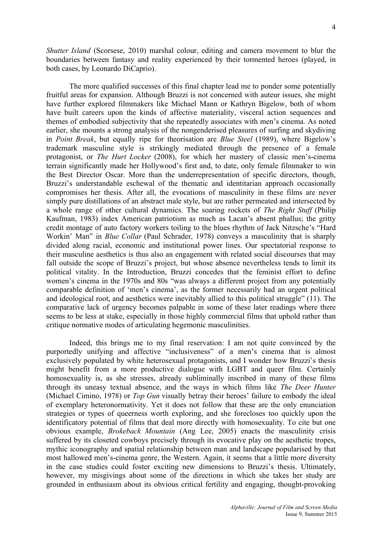*Shutter Island* (Scorsese, 2010) marshal colour, editing and camera movement to blur the boundaries between fantasy and reality experienced by their tormented heroes (played, in both cases, by Leonardo DiCaprio).

The more qualified successes of this final chapter lead me to ponder some potentially fruitful areas for expansion. Although Bruzzi is not concerned with auteur issues, she might have further explored filmmakers like Michael Mann or Kathryn Bigelow, both of whom have built careers upon the kinds of affective materiality, visceral action sequences and themes of embodied subjectivity that she repeatedly associates with men's cinema. As noted earlier, she mounts a strong analysis of the nongenderised pleasures of surfing and skydiving in *Point Break*, but equally ripe for theorisation are *Blue Steel* (1989), where Bigelow's trademark masculine style is strikingly mediated through the presence of a female protagonist, or *The Hurt Locker* (2008), for which her mastery of classic men's-cinema terrain significantly made her Hollywood's first and, to date, only female filmmaker to win the Best Director Oscar. More than the underrepresentation of specific directors, though, Bruzzi's understandable eschewal of the thematic and identitarian approach occasionally compromises her thesis. After all, the evocations of masculinity in these films are never simply pure distillations of an abstract male style, but are rather permeated and intersected by a whole range of other cultural dynamics. The soaring rockets of *The Right Stuff* (Philip Kaufman, 1983) index American patriotism as much as Lacan's absent phallus; the gritty credit montage of auto factory workers toiling to the blues rhythm of Jack Nitzsche's "Hard Workin' Man" in *Blue Collar* (Paul Schrader, 1978) conveys a masculinity that is sharply divided along racial, economic and institutional power lines. Our spectatorial response to their masculine aesthetics is thus also an engagement with related social discourses that may fall outside the scope of Bruzzi's project, but whose absence nevertheless tends to limit its political vitality. In the Introduction, Bruzzi concedes that the feminist effort to define women's cinema in the 1970s and 80s "was always a different project from any potentially comparable definition of 'men's cinema', as the former necessarily had an urgent political and ideological root, and aesthetics were inevitably allied to this political struggle" (11). The comparative lack of urgency becomes palpable in some of these later readings where there seems to be less at stake, especially in those highly commercial films that uphold rather than critique normative modes of articulating hegemonic masculinities.

Indeed, this brings me to my final reservation: I am not quite convinced by the purportedly unifying and affective "inclusiveness" of a men's cinema that is almost exclusively populated by white heterosexual protagonists, and I wonder how Bruzzi's thesis might benefit from a more productive dialogue with LGBT and queer film. Certainly homosexuality is, as she stresses, already subliminally inscribed in many of these films through its uneasy textual absence, and the ways in which films like *The Deer Hunter* (Michael Cimino, 1978) or *Top Gun* visually betray their heroes' failure to embody the ideal of exemplary heteronormativity. Yet it does not follow that these are the only enunciation strategies or types of queerness worth exploring, and she forecloses too quickly upon the identificatory potential of films that deal more directly with homosexuality. To cite but one obvious example, *Brokeback Mountain* (Ang Lee, 2005) enacts the masculinity crisis suffered by its closeted cowboys precisely through its evocative play on the aesthetic tropes, mythic iconography and spatial relationship between man and landscape popularised by that most hallowed men's-cinema genre, the Western. Again, it seems that a little more diversity in the case studies could foster exciting new dimensions to Bruzzi's thesis. Ultimately, however, my misgivings about some of the directions in which she takes her study are grounded in enthusiasm about its obvious critical fertility and engaging, thought-provoking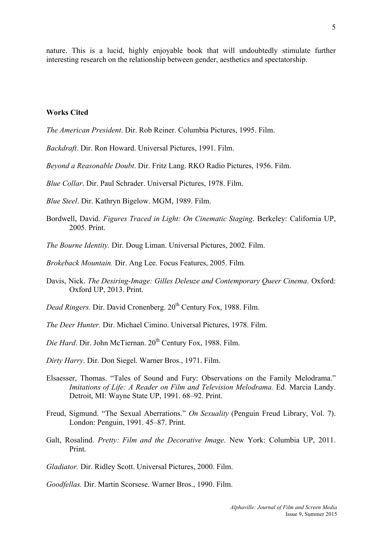nature. This is a lucid, highly enjoyable book that will undoubtedly stimulate further interesting research on the relationship between gender, aesthetics and spectatorship.

## **Works Cited**

*The American President*. Dir. Rob Reiner. Columbia Pictures, 1995. Film.

*Backdraft*. Dir. Ron Howard. Universal Pictures, 1991. Film.

*Beyond a Reasonable Doubt*. Dir. Fritz Lang. RKO Radio Pictures, 1956. Film.

*Blue Collar*. Dir. Paul Schrader. Universal Pictures, 1978. Film.

*Blue Steel*. Dir. Kathryn Bigelow. MGM, 1989. Film.

- Bordwell, David. *Figures Traced in Light: On Cinematic Staging*. Berkeley: California UP, 2005. Print.
- *The Bourne Identity.* Dir. Doug Liman. Universal Pictures, 2002. Film.

*Brokeback Mountain.* Dir. Ang Lee. Focus Features, 2005. Film*.*

Davis, Nick. *The Desiring-Image: Gilles Deleuze and Contemporary Queer Cinema*. Oxford: Oxford UP, 2013. Print.

*Dead Ringers. Dir. David Cronenberg.*  $20<sup>th</sup>$  Century Fox, 1988. Film.

*The Deer Hunter.* Dir. Michael Cimino. Universal Pictures, 1978. Film.

*Die Hard*. Dir. John McTiernan. 20<sup>th</sup> Century Fox, 1988. Film.

*Dirty Harry*. Dir. Don Siegel. Warner Bros., 1971. Film.

- Elsaesser, Thomas. "Tales of Sound and Fury: Observations on the Family Melodrama." *Imitations of Life: A Reader on Film and Television Melodrama. Ed. Marcia Landy.* Detroit, MI: Wayne State UP, 1991. 68–92. Print.
- Freud, Sigmund. "The Sexual Aberrations." *On Sexuality* (Penguin Freud Library, Vol. 7). London: Penguin, 1991. 45–87. Print.
- Galt, Rosalind. *Pretty: Film and the Decorative Image*. New York: Columbia UP, 2011. Print.

*Gladiator.* Dir. Ridley Scott. Universal Pictures, 2000. Film.

*Goodfellas.* Dir. Martin Scorsese. Warner Bros., 1990. Film.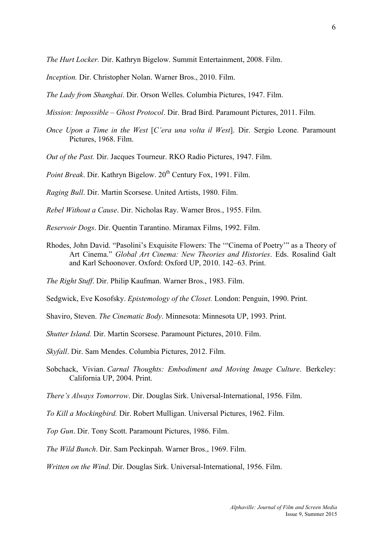*The Hurt Locker.* Dir. Kathryn Bigelow. Summit Entertainment, 2008. Film.

*Inception.* Dir. Christopher Nolan. Warner Bros., 2010. Film.

*The Lady from Shanghai*. Dir. Orson Welles. Columbia Pictures, 1947. Film.

*Mission: Impossible – Ghost Protocol*. Dir. Brad Bird. Paramount Pictures, 2011. Film.

*Once Upon a Time in the West* [*C'era una volta il West*]. Dir. Sergio Leone. Paramount Pictures, 1968. Film.

*Out of the Past.* Dir. Jacques Tourneur. RKO Radio Pictures, 1947. Film.

*Point Break.* Dir. Kathryn Bigelow. 20<sup>th</sup> Century Fox, 1991. Film.

*Raging Bull*. Dir. Martin Scorsese. United Artists, 1980. Film.

*Rebel Without a Cause*. Dir. Nicholas Ray. Warner Bros., 1955. Film.

*Reservoir Dogs*. Dir. Quentin Tarantino. Miramax Films, 1992. Film.

Rhodes, John David. "Pasolini's Exquisite Flowers: The '"Cinema of Poetry'" as a Theory of Art Cinema." *Global Art Cinema: New Theories and Histories*. Eds. Rosalind Galt and Karl Schoonover. Oxford: Oxford UP, 2010. 142–63. Print.

*The Right Stuff*. Dir. Philip Kaufman. Warner Bros., 1983. Film.

Sedgwick, Eve Kosofsky. *Epistemology of the Closet.* London: Penguin, 1990. Print.

Shaviro, Steven. *The Cinematic Body*. Minnesota: Minnesota UP, 1993. Print.

*Shutter Island.* Dir. Martin Scorsese. Paramount Pictures, 2010. Film.

*Skyfall*. Dir. Sam Mendes. Columbia Pictures, 2012. Film.

Sobchack, Vivian. *Carnal Thoughts: Embodiment and Moving Image Culture*. Berkeley: California UP, 2004. Print.

*There's Always Tomorrow*. Dir. Douglas Sirk. Universal-International, 1956. Film.

*To Kill a Mockingbird.* Dir. Robert Mulligan. Universal Pictures, 1962. Film.

*Top Gun*. Dir. Tony Scott. Paramount Pictures, 1986. Film.

*The Wild Bunch*. Dir. Sam Peckinpah. Warner Bros., 1969. Film.

*Written on the Wind*. Dir. Douglas Sirk. Universal-International, 1956. Film.